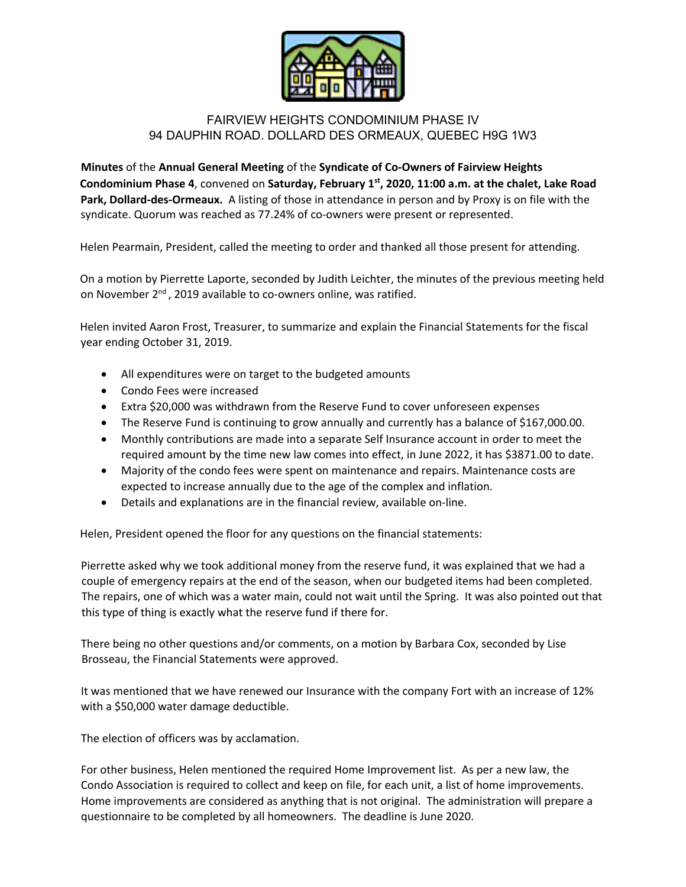

## FAIRVIEW HEIGHTS CONDOMINIUM PHASE IV 94 DAUPHIN ROAD. DOLLARD DES ORMEAUX, QUEBEC H9G 1W3

**Minutes** of the **Annual General Meeting** of the **Syndicate of Co-Owners of Fairview Heights Condominium Phase 4**, convened on **Saturday, February 1st, 2020, 11:00 a.m. at the chalet, Lake Road Park, Dollard-des-Ormeaux.** A listing of those in attendance in person and by Proxy is on file with the syndicate. Quorum was reached as 77.24% of co-owners were present or represented.

Helen Pearmain, President, called the meeting to order and thanked all those present for attending.

On a motion by Pierrette Laporte, seconded by Judith Leichter, the minutes of the previous meeting held on November  $2^{nd}$ , 2019 available to co-owners online, was ratified.

Helen invited Aaron Frost, Treasurer, to summarize and explain the Financial Statements for the fiscal year ending October 31, 2019.

- All expenditures were on target to the budgeted amounts
- Condo Fees were increased
- Extra \$20,000 was withdrawn from the Reserve Fund to cover unforeseen expenses
- The Reserve Fund is continuing to grow annually and currently has a balance of \$167,000.00.
- Monthly contributions are made into a separate Self Insurance account in order to meet the required amount by the time new law comes into effect, in June 2022, it has \$3871.00 to date.
- Majority of the condo fees were spent on maintenance and repairs. Maintenance costs are expected to increase annually due to the age of the complex and inflation.
- Details and explanations are in the financial review, available on-line.

Helen, President opened the floor for any questions on the financial statements:

Pierrette asked why we took additional money from the reserve fund, it was explained that we had a couple of emergency repairs at the end of the season, when our budgeted items had been completed. The repairs, one of which was a water main, could not wait until the Spring. It was also pointed out that this type of thing is exactly what the reserve fund if there for.

There being no other questions and/or comments, on a motion by Barbara Cox, seconded by Lise Brosseau, the Financial Statements were approved.

It was mentioned that we have renewed our Insurance with the company Fort with an increase of 12% with a \$50,000 water damage deductible.

The election of officers was by acclamation.

For other business, Helen mentioned the required Home Improvement list. As per a new law, the Condo Association is required to collect and keep on file, for each unit, a list of home improvements. Home improvements are considered as anything that is not original. The administration will prepare a questionnaire to be completed by all homeowners. The deadline is June 2020.